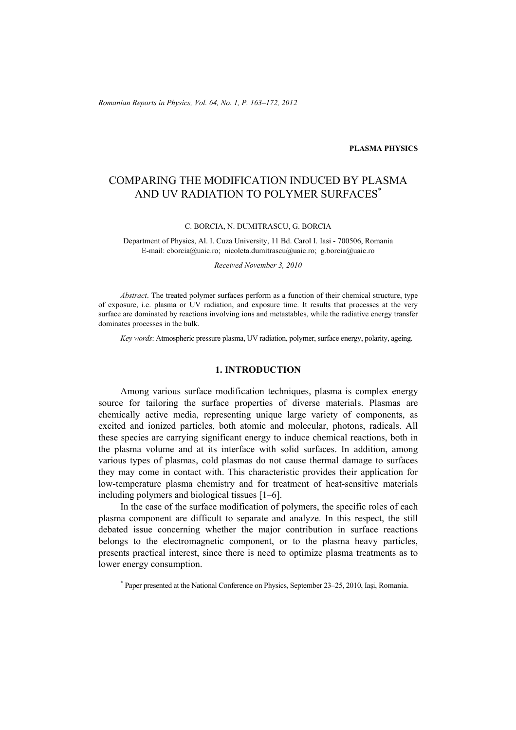*Romanian Reports in Physics, Vol. 64, No. 1, P. 163–172, 2012*

#### **PLASMA PHYSICS**

# COMPARING THE MODIFICATION INDUCED BY PLASMA AND UV RADIATION TO POLYMER SURFACES\*

C. BORCIA, N. DUMITRASCU, G. BORCIA

Department of Physics, Al. I. Cuza University, 11 Bd. Carol I. Iasi - 700506, Romania E-mail: cborcia@uaic.ro; nicoleta.dumitrascu@uaic.ro; g.borcia@uaic.ro

*Received November 3, 2010* 

*Abstract*. The treated polymer surfaces perform as a function of their chemical structure, type of exposure, i.e. plasma or UV radiation, and exposure time. It results that processes at the very surface are dominated by reactions involving ions and metastables, while the radiative energy transfer dominates processes in the bulk.

*Key words*: Atmospheric pressure plasma, UV radiation, polymer, surface energy, polarity, ageing.

### **1. INTRODUCTION**

Among various surface modification techniques, plasma is complex energy source for tailoring the surface properties of diverse materials. Plasmas are chemically active media, representing unique large variety of components, as excited and ionized particles, both atomic and molecular, photons, radicals. All these species are carrying significant energy to induce chemical reactions, both in the plasma volume and at its interface with solid surfaces. In addition, among various types of plasmas, cold plasmas do not cause thermal damage to surfaces they may come in contact with. This characteristic provides their application for low-temperature plasma chemistry and for treatment of heat-sensitive materials including polymers and biological tissues [1–6].

In the case of the surface modification of polymers, the specific roles of each plasma component are difficult to separate and analyze. In this respect, the still debated issue concerning whether the major contribution in surface reactions belongs to the electromagnetic component, or to the plasma heavy particles, presents practical interest, since there is need to optimize plasma treatments as to lower energy consumption.

<sup>\*</sup> Paper presented at the National Conference on Physics, September 23–25, 2010, Iaşi, Romania.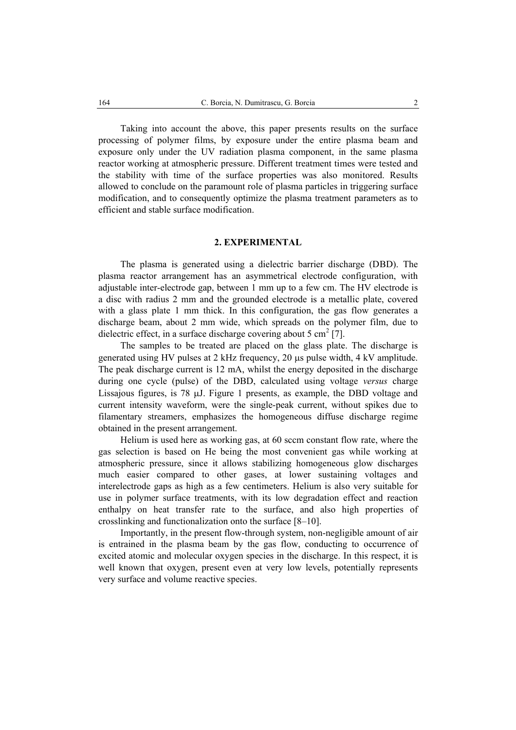Taking into account the above, this paper presents results on the surface processing of polymer films, by exposure under the entire plasma beam and exposure only under the UV radiation plasma component, in the same plasma reactor working at atmospheric pressure. Different treatment times were tested and the stability with time of the surface properties was also monitored. Results allowed to conclude on the paramount role of plasma particles in triggering surface modification, and to consequently optimize the plasma treatment parameters as to efficient and stable surface modification.

# **2. EXPERIMENTAL**

The plasma is generated using a dielectric barrier discharge (DBD). The plasma reactor arrangement has an asymmetrical electrode configuration, with adjustable inter-electrode gap, between 1 mm up to a few cm. The HV electrode is a disc with radius 2 mm and the grounded electrode is a metallic plate, covered with a glass plate 1 mm thick. In this configuration, the gas flow generates a discharge beam, about 2 mm wide, which spreads on the polymer film, due to dielectric effect, in a surface discharge covering about 5 cm<sup>2</sup> [7].

The samples to be treated are placed on the glass plate. The discharge is generated using HV pulses at 2 kHz frequency, 20 µs pulse width, 4 kV amplitude. The peak discharge current is 12 mA, whilst the energy deposited in the discharge during one cycle (pulse) of the DBD, calculated using voltage *versus* charge Lissajous figures, is 78 µJ. Figure 1 presents, as example, the DBD voltage and current intensity waveform, were the single-peak current, without spikes due to filamentary streamers, emphasizes the homogeneous diffuse discharge regime obtained in the present arrangement.

Helium is used here as working gas, at 60 sccm constant flow rate, where the gas selection is based on He being the most convenient gas while working at atmospheric pressure, since it allows stabilizing homogeneous glow discharges much easier compared to other gases, at lower sustaining voltages and interelectrode gaps as high as a few centimeters. Helium is also very suitable for use in polymer surface treatments, with its low degradation effect and reaction enthalpy on heat transfer rate to the surface, and also high properties of crosslinking and functionalization onto the surface [8–10].

Importantly, in the present flow-through system, non-negligible amount of air is entrained in the plasma beam by the gas flow, conducting to occurrence of excited atomic and molecular oxygen species in the discharge. In this respect, it is well known that oxygen, present even at very low levels, potentially represents very surface and volume reactive species.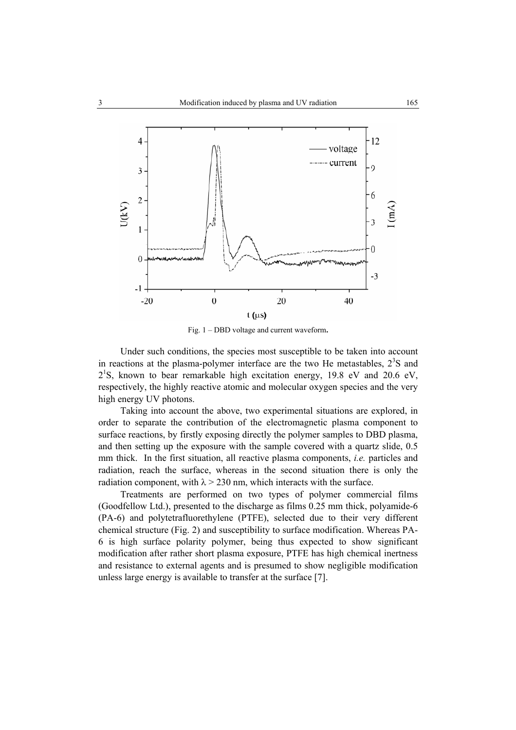

Fig. 1 – DBD voltage and current waveform**.** 

Under such conditions, the species most susceptible to be taken into account in reactions at the plasma-polymer interface are the two He metastables,  $2<sup>3</sup>S$  and  $2^{1}$ S, known to bear remarkable high excitation energy, 19.8 eV and 20.6 eV, respectively, the highly reactive atomic and molecular oxygen species and the very high energy UV photons.

Taking into account the above, two experimental situations are explored, in order to separate the contribution of the electromagnetic plasma component to surface reactions, by firstly exposing directly the polymer samples to DBD plasma, and then setting up the exposure with the sample covered with a quartz slide, 0.5 mm thick. In the first situation, all reactive plasma components, *i.e.* particles and radiation, reach the surface, whereas in the second situation there is only the radiation component, with  $\lambda > 230$  nm, which interacts with the surface.

Treatments are performed on two types of polymer commercial films (Goodfellow Ltd.), presented to the discharge as films 0.25 mm thick, polyamide-6 (PA-6) and polytetrafluorethylene (PTFE), selected due to their very different chemical structure (Fig. 2) and susceptibility to surface modification. Whereas PA-6 is high surface polarity polymer, being thus expected to show significant modification after rather short plasma exposure, PTFE has high chemical inertness and resistance to external agents and is presumed to show negligible modification unless large energy is available to transfer at the surface [7].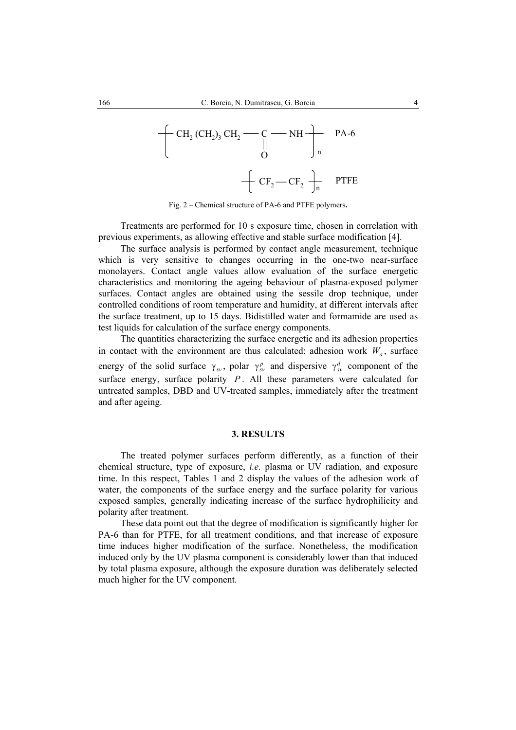

Fig. 2 – Chemical structure of PA-6 and PTFE polymers**.** 

Treatments are performed for 10 s exposure time, chosen in correlation with previous experiments, as allowing effective and stable surface modification [4].

The surface analysis is performed by contact angle measurement, technique which is very sensitive to changes occurring in the one-two near-surface monolayers. Contact angle values allow evaluation of the surface energetic characteristics and monitoring the ageing behaviour of plasma-exposed polymer surfaces. Contact angles are obtained using the sessile drop technique, under controlled conditions of room temperature and humidity, at different intervals after the surface treatment, up to 15 days. Bidistilled water and formamide are used as test liquids for calculation of the surface energy components.

The quantities characterizing the surface energetic and its adhesion properties in contact with the environment are thus calculated: adhesion work  $W_a$ , surface energy of the solid surface  $\gamma_{sv}$ , polar  $\gamma_{sv}^p$  and dispersive  $\gamma_{sv}^d$  component of the surface energy, surface polarity  $P$ . All these parameters were calculated for untreated samples, DBD and UV-treated samples, immediately after the treatment and after ageing.

#### **3. RESULTS**

The treated polymer surfaces perform differently, as a function of their chemical structure, type of exposure, *i.e.* plasma or UV radiation, and exposure time. In this respect, Tables 1 and 2 display the values of the adhesion work of water, the components of the surface energy and the surface polarity for various exposed samples, generally indicating increase of the surface hydrophilicity and polarity after treatment.

These data point out that the degree of modification is significantly higher for PA-6 than for PTFE, for all treatment conditions, and that increase of exposure time induces higher modification of the surface. Nonetheless, the modification induced only by the UV plasma component is considerably lower than that induced by total plasma exposure, although the exposure duration was deliberately selected much higher for the UV component.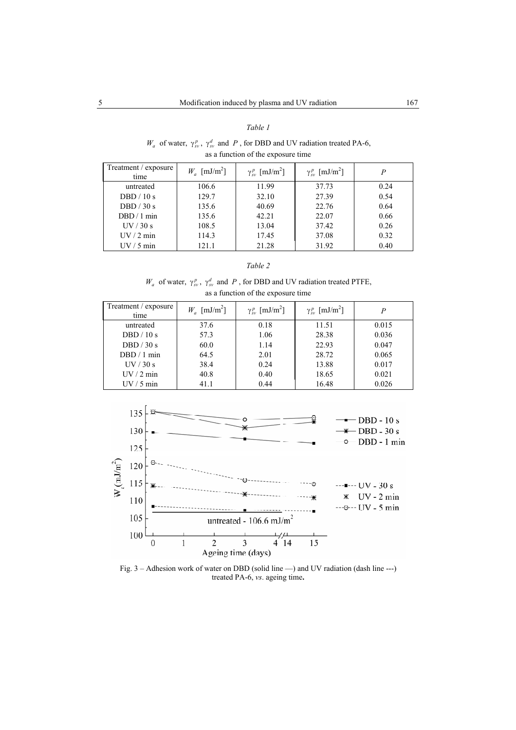#### *Table 1*

## $W_a$  of water,  $\gamma_{sv}^p$ ,  $\gamma_{sv}^d$  and *P*, for DBD and UV radiation treated PA-6, as a function of the exposure time

| Treatment / exposure<br>time | $W_a$ [mJ/m <sup>2</sup> ] | $\gamma_{\rm sv}^p$ [mJ/m <sup>2</sup> ] | $\gamma_{\rm sv}^p$ [mJ/m <sup>2</sup> ] | P    |
|------------------------------|----------------------------|------------------------------------------|------------------------------------------|------|
| untreated                    | 106.6                      | 11.99                                    | 37.73                                    | 0.24 |
| DBD $/10 s$                  | 129.7                      | 32.10                                    | 27.39                                    | 0.54 |
| DBD $/30s$                   | 135.6                      | 40.69                                    | 22.76                                    | 0.64 |
| $DBD/1$ min                  | 135.6                      | 42.21                                    | 22.07                                    | 0.66 |
| UV/30 s                      | 108.5                      | 13.04                                    | 37.42                                    | 0.26 |
| $UV/2$ min                   | 114.3                      | 17.45                                    | 37.08                                    | 0.32 |
| $UV/5$ min                   | 121.1                      | 21.28                                    | 31.92                                    | 0.40 |

### *Table 2*

### $W_a$  of water,  $\gamma_{sv}^p$ ,  $\gamma_{sv}^d$  and *P*, for DBD and UV radiation treated PTFE, as a function of the exposure time

| Treatment / exposure<br>time | $W_a$ [mJ/m <sup>2</sup> ] | $\gamma_{\rm sv}^p$ [mJ/m <sup>2</sup> ] | $\gamma_{sv}^p$ [mJ/m <sup>2</sup> ] | P     |
|------------------------------|----------------------------|------------------------------------------|--------------------------------------|-------|
| untreated                    | 37.6                       | 0.18                                     | 11.51                                | 0.015 |
| DBD / 10 s                   | 57.3                       | 1.06                                     | 28.38                                | 0.036 |
| DBD $/30 s$                  | 60.0                       | 1.14                                     | 22.93                                | 0.047 |
| DBD / 1 min                  | 64.5                       | 2.01                                     | 28.72                                | 0.065 |
| UV/30 s                      | 38.4                       | 0.24                                     | 13.88                                | 0.017 |
| $UV/2$ min                   | 40.8                       | 0.40                                     | 18.65                                | 0.021 |
| $UV/5$ min                   | 41.1                       | 0.44                                     | 16.48                                | 0.026 |



Fig. 3 – Adhesion work of water on DBD (solid line —) and UV radiation (dash line ---) treated PA-6, *vs*. ageing time**.**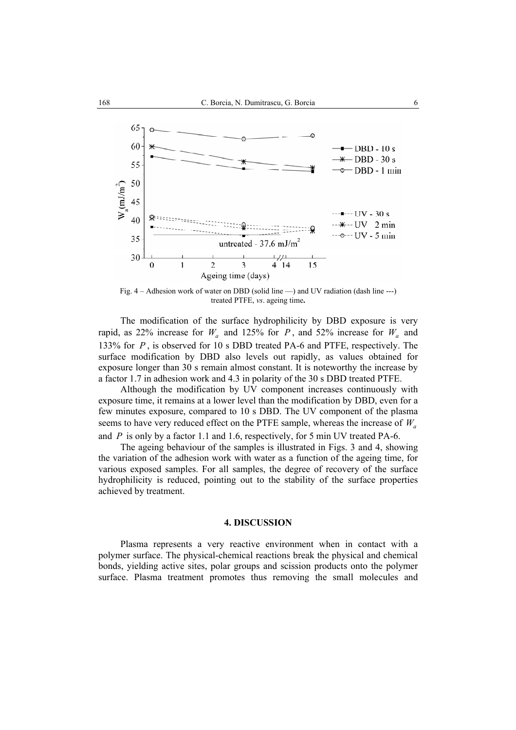

Fig. 4 – Adhesion work of water on DBD (solid line —) and UV radiation (dash line ---) treated PTFE, *vs*. ageing time**.** 

The modification of the surface hydrophilicity by DBD exposure is very rapid, as 22% increase for  $W_a$  and 125% for *P*, and 52% increase for  $W_a$  and 133% for *P* , is observed for 10 s DBD treated PA-6 and PTFE, respectively. The surface modification by DBD also levels out rapidly, as values obtained for exposure longer than 30 s remain almost constant. It is noteworthy the increase by a factor 1.7 in adhesion work and 4.3 in polarity of the 30 s DBD treated PTFE.

Although the modification by UV component increases continuously with exposure time, it remains at a lower level than the modification by DBD, even for a few minutes exposure, compared to 10 s DBD. The UV component of the plasma seems to have very reduced effect on the PTFE sample, whereas the increase of  $W_a$ and *P* is only by a factor 1.1 and 1.6, respectively, for 5 min UV treated PA-6.

The ageing behaviour of the samples is illustrated in Figs. 3 and 4, showing the variation of the adhesion work with water as a function of the ageing time, for various exposed samples. For all samples, the degree of recovery of the surface hydrophilicity is reduced, pointing out to the stability of the surface properties achieved by treatment.

#### **4. DISCUSSION**

Plasma represents a very reactive environment when in contact with a polymer surface. The physical-chemical reactions break the physical and chemical bonds, yielding active sites, polar groups and scission products onto the polymer surface. Plasma treatment promotes thus removing the small molecules and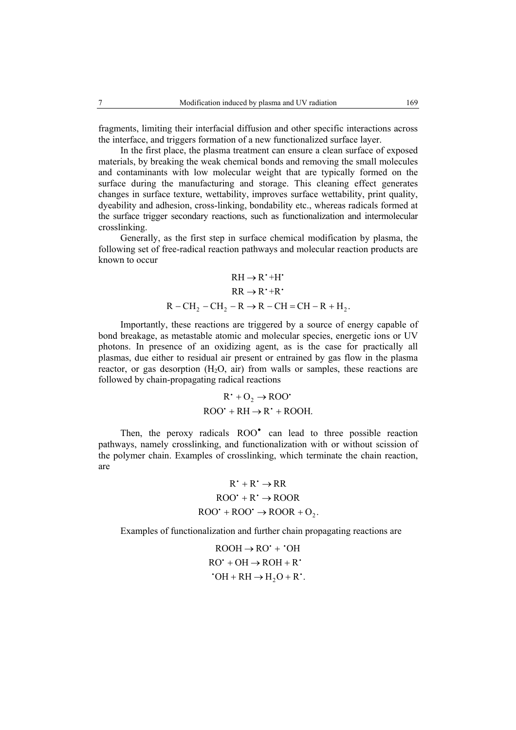fragments, limiting their interfacial diffusion and other specific interactions across the interface, and triggers formation of a new functionalized surface layer.

In the first place, the plasma treatment can ensure a clean surface of exposed materials, by breaking the weak chemical bonds and removing the small molecules and contaminants with low molecular weight that are typically formed on the surface during the manufacturing and storage. This cleaning effect generates changes in surface texture, wettability, improves surface wettability, print quality, dyeability and adhesion, cross-linking, bondability etc., whereas radicals formed at the surface trigger secondary reactions, such as functionalization and intermolecular crosslinking.

Generally, as the first step in surface chemical modification by plasma, the following set of free-radical reaction pathways and molecular reaction products are known to occur

$$
RH \rightarrow R^* + H^*
$$
  
\n
$$
RR \rightarrow R^* + R^*
$$
  
\n
$$
R - CH_2 - CH_2 - R \rightarrow R - CH = CH - R + H_2.
$$

Importantly, these reactions are triggered by a source of energy capable of bond breakage, as metastable atomic and molecular species, energetic ions or UV photons. In presence of an oxidizing agent, as is the case for practically all plasmas, due either to residual air present or entrained by gas flow in the plasma reactor, or gas desorption  $(H_2O, \text{ air})$  from walls or samples, these reactions are followed by chain-propagating radical reactions

$$
R^+ + O_2 \rightarrow ROO^*
$$
  
ROO<sup>+</sup> + RH  $\rightarrow R^+ + ROOH$ .

Then, the peroxy radicals  $ROO<sup>o</sup>$  can lead to three possible reaction pathways, namely crosslinking, and functionalization with or without scission of the polymer chain. Examples of crosslinking, which terminate the chain reaction, are

$$
R^+ + R^+ \rightarrow RR
$$
  
ROO' + R'  $\rightarrow$  ROOR  
ROO' + ROO'  $\rightarrow$  ROOR + O<sub>2</sub>.

Examples of functionalization and further chain propagating reactions are

$$
ROOH \rightarrow RO^{\cdot} + ^{\cdot}OH
$$
  
RO^{\cdot} + OH \rightarrow ROH + R^{\cdot}   
COH + RH \rightarrow H\_2O + R^{\cdot}.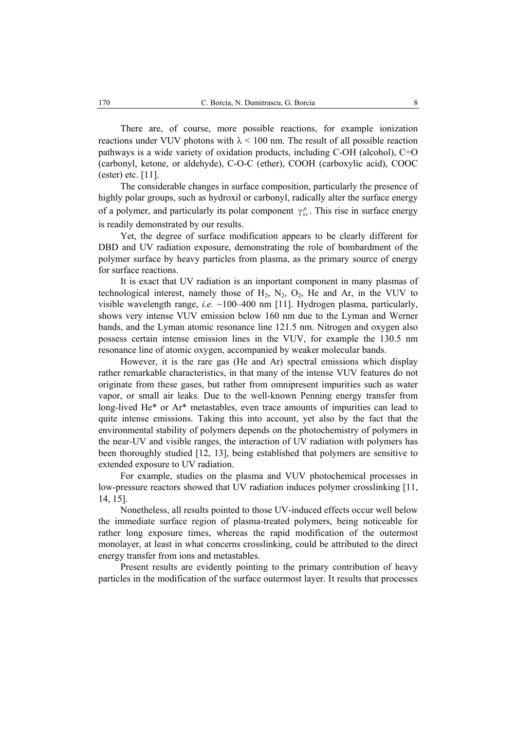There are, of course, more possible reactions, for example ionization reactions under VUV photons with  $\lambda \le 100$  nm. The result of all possible reaction pathways is a wide variety of oxidation products, including C-OH (alcohol), C=O (carbonyl, ketone, or aldehyde), C-O-C (ether), COOH (carboxylic acid), COOC (ester) etc. [11].

The considerable changes in surface composition, particularly the presence of highly polar groups, such as hydroxil or carbonyl, radically alter the surface energy of a polymer, and particularly its polar component  $\gamma_{sv}^p$ . This rise in surface energy is readily demonstrated by our results.

Yet, the degree of surface modification appears to be clearly different for DBD and UV radiation exposure, demonstrating the role of bombardment of the polymer surface by heavy particles from plasma, as the primary source of energy for surface reactions.

It is exact that UV radiation is an important component in many plasmas of technological interest, namely those of  $H_2$ ,  $N_2$ ,  $O_2$ ,  $He$  and Ar, in the VUV to visible wavelength range, *i.e.* ~100–400 nm [11]. Hydrogen plasma, particularly, shows very intense VUV emission below 160 nm due to the Lyman and Werner bands, and the Lyman atomic resonance line 121.5 nm. Nitrogen and oxygen also possess certain intense emission lines in the VUV, for example the 130.5 nm resonance line of atomic oxygen, accompanied by weaker molecular bands.

However, it is the rare gas (He and Ar) spectral emissions which display rather remarkable characteristics, in that many of the intense VUV features do not originate from these gases, but rather from omnipresent impurities such as water vapor, or small air leaks. Due to the well-known Penning energy transfer from long-lived He\* or Ar\* metastables, even trace amounts of impurities can lead to quite intense emissions. Taking this into account, yet also by the fact that the environmental stability of polymers depends on the photochemistry of polymers in the near-UV and visible ranges, the interaction of UV radiation with polymers has been thoroughly studied [12, 13], being established that polymers are sensitive to extended exposure to UV radiation.

For example, studies on the plasma and VUV photochemical processes in low-pressure reactors showed that UV radiation induces polymer crosslinking [11, 14, 15].

Nonetheless, all results pointed to those UV-induced effects occur well below the immediate surface region of plasma-treated polymers, being noticeable for rather long exposure times, whereas the rapid modification of the outermost monolayer, at least in what concerns crosslinking, could be attributed to the direct energy transfer from ions and metastables.

Present results are evidently pointing to the primary contribution of heavy particles in the modification of the surface outermost layer. It results that processes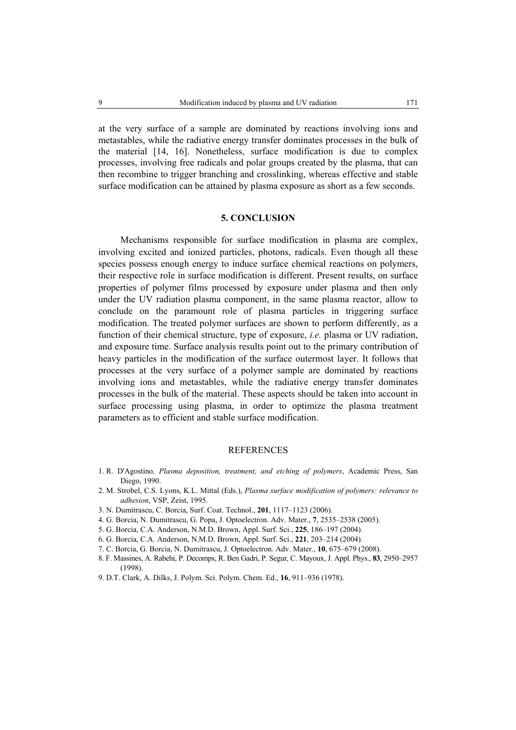at the very surface of a sample are dominated by reactions involving ions and metastables, while the radiative energy transfer dominates processes in the bulk of the material [14, 16]. Nonetheless, surface modification is due to complex processes, involving free radicals and polar groups created by the plasma, that can then recombine to trigger branching and crosslinking, whereas effective and stable surface modification can be attained by plasma exposure as short as a few seconds.

## **5. CONCLUSION**

Mechanisms responsible for surface modification in plasma are complex, involving excited and ionized particles, photons, radicals. Even though all these species possess enough energy to induce surface chemical reactions on polymers, their respective role in surface modification is different. Present results, on surface properties of polymer films processed by exposure under plasma and then only under the UV radiation plasma component, in the same plasma reactor, allow to conclude on the paramount role of plasma particles in triggering surface modification. The treated polymer surfaces are shown to perform differently, as a function of their chemical structure, type of exposure, *i.e.* plasma or UV radiation, and exposure time. Surface analysis results point out to the primary contribution of heavy particles in the modification of the surface outermost layer. It follows that processes at the very surface of a polymer sample are dominated by reactions involving ions and metastables, while the radiative energy transfer dominates processes in the bulk of the material. These aspects should be taken into account in surface processing using plasma, in order to optimize the plasma treatment parameters as to efficient and stable surface modification.

### **REFERENCES**

- 1. R. D'Agostino*, Plasma deposition, treatment, and etching of polymers*, Academic Press, San Diego, 1990.
- 2. M. Strobel, C.S. Lyons, K.L. Mittal (Eds.), *Plasma surface modification of polymers: relevance to adhesion*, VSP, Zeist, 1995.
- 3. N. Dumitrascu, C. Borcia, Surf. Coat. Technol., **201**, 1117–1123 (2006).
- 4. G. Borcia, N. Dumitrascu, G. Popa, J. Optoelectron. Adv. Mater., **7**, 2535–2538 (2005).
- 5. G. Borcia, C.A. Anderson, N.M.D. Brown, Appl. Surf. Sci., **225**, 186–197 (2004).
- 6. G. Borcia, C.A. Anderson, N.M.D. Brown, Appl. Surf. Sci., **221**, 203–214 (2004).
- 7. C. Borcia, G. Borcia, N. Dumitrascu, J. Optoelectron. Adv. Mater., **10**, 675–679 (2008).
- 8. F. Massines, A. Rabehi, P. Decomps, R. Ben Gadri, P. Segur, C. Mayoux, J. Appl. Phys., **83**, 2950–2957 (1998).
- 9. D.T. Clark, A. Dilks, J. Polym. Sci. Polym. Chem. Ed., **16**, 911–936 (1978).